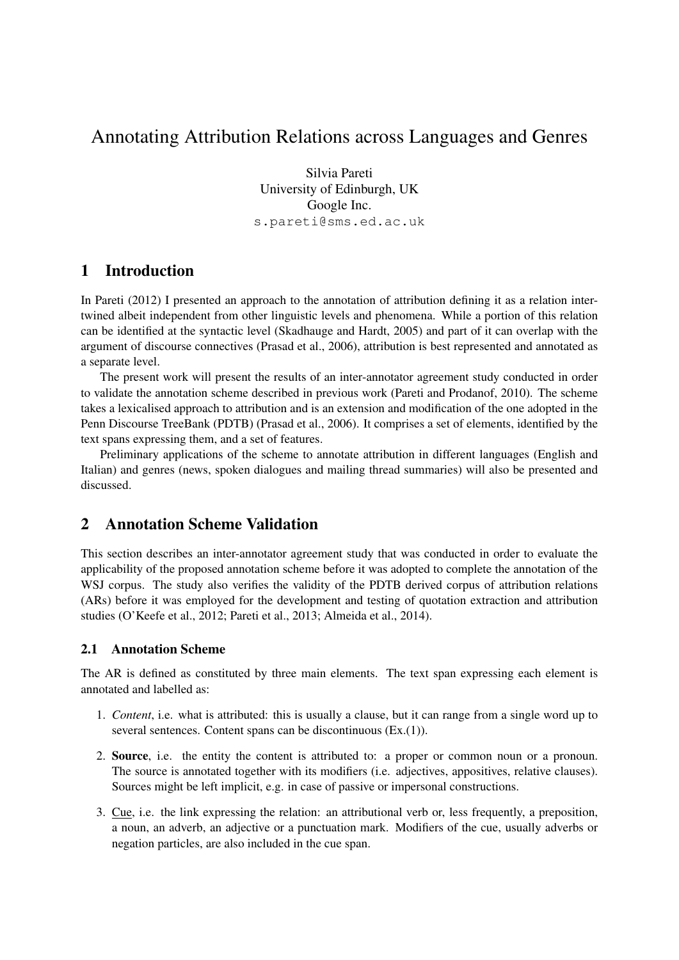# Annotating Attribution Relations across Languages and Genres

Silvia Pareti University of Edinburgh, UK Google Inc. s.pareti@sms.ed.ac.uk

# 1 Introduction

In Pareti (2012) I presented an approach to the annotation of attribution defining it as a relation intertwined albeit independent from other linguistic levels and phenomena. While a portion of this relation can be identified at the syntactic level (Skadhauge and Hardt, 2005) and part of it can overlap with the argument of discourse connectives (Prasad et al., 2006), attribution is best represented and annotated as a separate level.

The present work will present the results of an inter-annotator agreement study conducted in order to validate the annotation scheme described in previous work (Pareti and Prodanof, 2010). The scheme takes a lexicalised approach to attribution and is an extension and modification of the one adopted in the Penn Discourse TreeBank (PDTB) (Prasad et al., 2006). It comprises a set of elements, identified by the text spans expressing them, and a set of features.

Preliminary applications of the scheme to annotate attribution in different languages (English and Italian) and genres (news, spoken dialogues and mailing thread summaries) will also be presented and discussed.

# 2 Annotation Scheme Validation

This section describes an inter-annotator agreement study that was conducted in order to evaluate the applicability of the proposed annotation scheme before it was adopted to complete the annotation of the WSJ corpus. The study also verifies the validity of the PDTB derived corpus of attribution relations (ARs) before it was employed for the development and testing of quotation extraction and attribution studies (O'Keefe et al., 2012; Pareti et al., 2013; Almeida et al., 2014).

### 2.1 Annotation Scheme

The AR is defined as constituted by three main elements. The text span expressing each element is annotated and labelled as:

- 1. *Content*, i.e. what is attributed: this is usually a clause, but it can range from a single word up to several sentences. Content spans can be discontinuous (Ex.(1)).
- 2. Source, i.e. the entity the content is attributed to: a proper or common noun or a pronoun. The source is annotated together with its modifiers (i.e. adjectives, appositives, relative clauses). Sources might be left implicit, e.g. in case of passive or impersonal constructions.
- 3. Cue, i.e. the link expressing the relation: an attributional verb or, less frequently, a preposition, a noun, an adverb, an adjective or a punctuation mark. Modifiers of the cue, usually adverbs or negation particles, are also included in the cue span.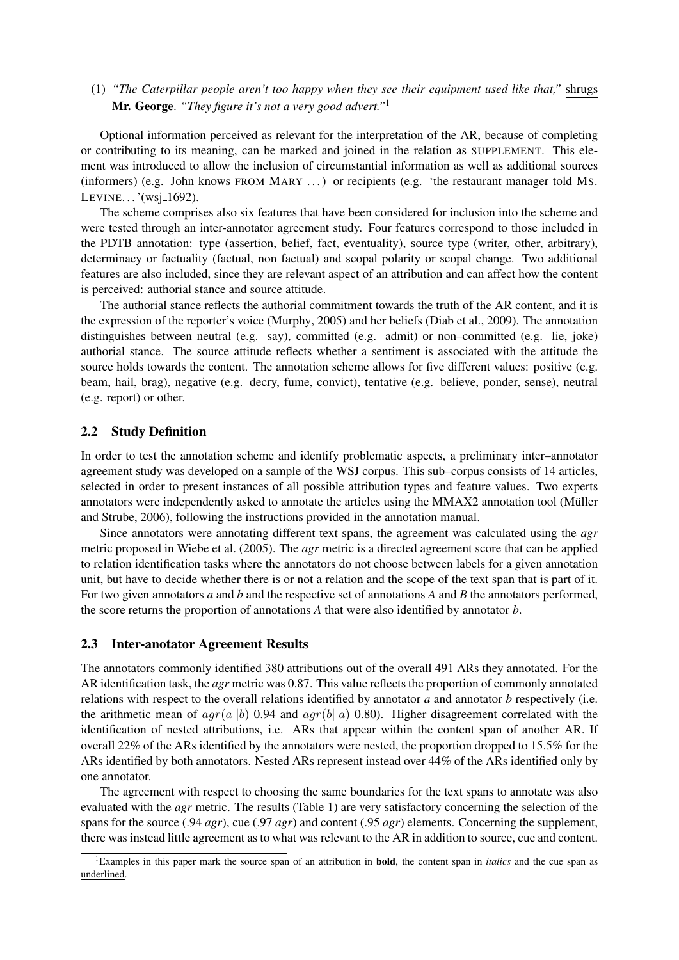(1) *"The Caterpillar people aren't too happy when they see their equipment used like that,"* shrugs Mr. George. *"They figure it's not a very good advert."*<sup>1</sup>

Optional information perceived as relevant for the interpretation of the AR, because of completing or contributing to its meaning, can be marked and joined in the relation as SUPPLEMENT. This element was introduced to allow the inclusion of circumstantial information as well as additional sources (informers) (e.g. John knows FROM MARY . . . ) or recipients (e.g. 'the restaurant manager told MS. LEVINE $\ldots$ '(wsj $_1$ 1692).

The scheme comprises also six features that have been considered for inclusion into the scheme and were tested through an inter-annotator agreement study. Four features correspond to those included in the PDTB annotation: type (assertion, belief, fact, eventuality), source type (writer, other, arbitrary), determinacy or factuality (factual, non factual) and scopal polarity or scopal change. Two additional features are also included, since they are relevant aspect of an attribution and can affect how the content is perceived: authorial stance and source attitude.

The authorial stance reflects the authorial commitment towards the truth of the AR content, and it is the expression of the reporter's voice (Murphy, 2005) and her beliefs (Diab et al., 2009). The annotation distinguishes between neutral (e.g. say), committed (e.g. admit) or non–committed (e.g. lie, joke) authorial stance. The source attitude reflects whether a sentiment is associated with the attitude the source holds towards the content. The annotation scheme allows for five different values: positive (e.g. beam, hail, brag), negative (e.g. decry, fume, convict), tentative (e.g. believe, ponder, sense), neutral (e.g. report) or other.

#### 2.2 Study Definition

In order to test the annotation scheme and identify problematic aspects, a preliminary inter–annotator agreement study was developed on a sample of the WSJ corpus. This sub–corpus consists of 14 articles, selected in order to present instances of all possible attribution types and feature values. Two experts annotators were independently asked to annotate the articles using the MMAX2 annotation tool (Müller and Strube, 2006), following the instructions provided in the annotation manual.

Since annotators were annotating different text spans, the agreement was calculated using the *agr* metric proposed in Wiebe et al. (2005). The *agr* metric is a directed agreement score that can be applied to relation identification tasks where the annotators do not choose between labels for a given annotation unit, but have to decide whether there is or not a relation and the scope of the text span that is part of it. For two given annotators *a* and *b* and the respective set of annotations *A* and *B* the annotators performed, the score returns the proportion of annotations *A* that were also identified by annotator *b*.

#### 2.3 Inter-anotator Agreement Results

The annotators commonly identified 380 attributions out of the overall 491 ARs they annotated. For the AR identification task, the *agr* metric was 0.87. This value reflects the proportion of commonly annotated relations with respect to the overall relations identified by annotator *a* and annotator *b* respectively (i.e. the arithmetic mean of  $agr(a||b)$  0.94 and  $agr(b||a)$  0.80). Higher disagreement correlated with the identification of nested attributions, i.e. ARs that appear within the content span of another AR. If overall 22% of the ARs identified by the annotators were nested, the proportion dropped to 15.5% for the ARs identified by both annotators. Nested ARs represent instead over 44% of the ARs identified only by one annotator.

The agreement with respect to choosing the same boundaries for the text spans to annotate was also evaluated with the *agr* metric. The results (Table 1) are very satisfactory concerning the selection of the spans for the source (.94 *agr*), cue (.97 *agr*) and content (.95 *agr*) elements. Concerning the supplement, there was instead little agreement as to what was relevant to the AR in addition to source, cue and content.

<sup>1</sup>Examples in this paper mark the source span of an attribution in bold, the content span in *italics* and the cue span as underlined.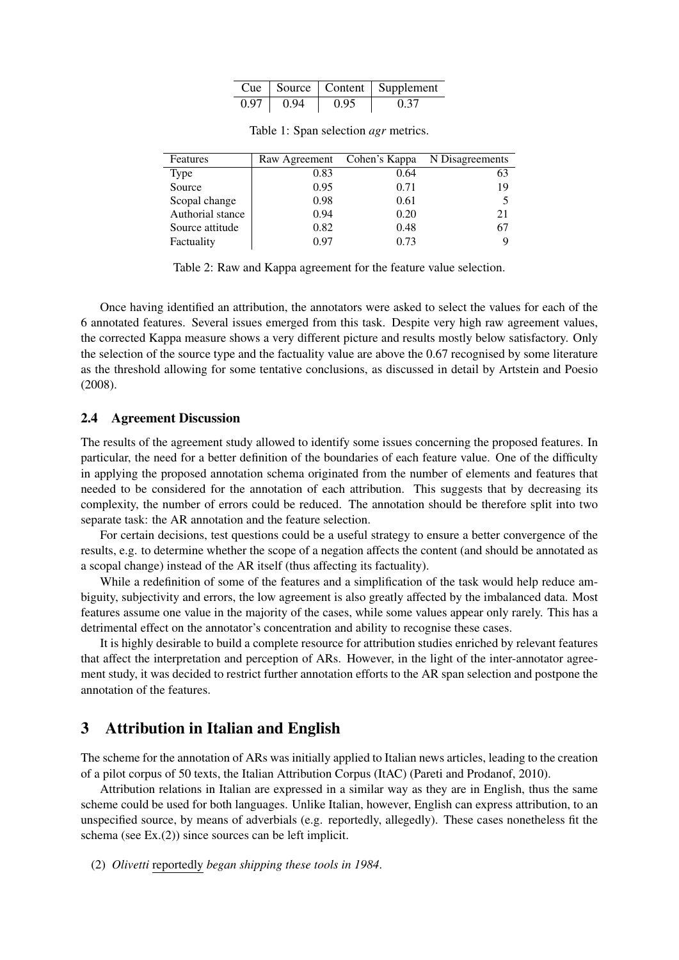|      |      |      | Cue   Source   Content   Supplement |
|------|------|------|-------------------------------------|
| 0.97 | 0.94 | 0.95 | () 37                               |

| Features         | Raw Agreement Cohen's Kappa |      | N Disagreements |
|------------------|-----------------------------|------|-----------------|
| <b>Type</b>      | 0.83                        | 0.64 | 63              |
| Source           | 0.95                        | 0.71 | 19              |
| Scopal change    | 0.98                        | 0.61 |                 |
| Authorial stance | 0.94                        | 0.20 | 21              |
| Source attitude  | 0.82                        | 0.48 | 67              |
| Factuality       | 0.97                        | 0.73 |                 |

Table 1: Span selection *agr* metrics.

Table 2: Raw and Kappa agreement for the feature value selection.

Once having identified an attribution, the annotators were asked to select the values for each of the 6 annotated features. Several issues emerged from this task. Despite very high raw agreement values, the corrected Kappa measure shows a very different picture and results mostly below satisfactory. Only the selection of the source type and the factuality value are above the 0.67 recognised by some literature as the threshold allowing for some tentative conclusions, as discussed in detail by Artstein and Poesio (2008).

#### 2.4 Agreement Discussion

The results of the agreement study allowed to identify some issues concerning the proposed features. In particular, the need for a better definition of the boundaries of each feature value. One of the difficulty in applying the proposed annotation schema originated from the number of elements and features that needed to be considered for the annotation of each attribution. This suggests that by decreasing its complexity, the number of errors could be reduced. The annotation should be therefore split into two separate task: the AR annotation and the feature selection.

For certain decisions, test questions could be a useful strategy to ensure a better convergence of the results, e.g. to determine whether the scope of a negation affects the content (and should be annotated as a scopal change) instead of the AR itself (thus affecting its factuality).

While a redefinition of some of the features and a simplification of the task would help reduce ambiguity, subjectivity and errors, the low agreement is also greatly affected by the imbalanced data. Most features assume one value in the majority of the cases, while some values appear only rarely. This has a detrimental effect on the annotator's concentration and ability to recognise these cases.

It is highly desirable to build a complete resource for attribution studies enriched by relevant features that affect the interpretation and perception of ARs. However, in the light of the inter-annotator agreement study, it was decided to restrict further annotation efforts to the AR span selection and postpone the annotation of the features.

### 3 Attribution in Italian and English

The scheme for the annotation of ARs was initially applied to Italian news articles, leading to the creation of a pilot corpus of 50 texts, the Italian Attribution Corpus (ItAC) (Pareti and Prodanof, 2010).

Attribution relations in Italian are expressed in a similar way as they are in English, thus the same scheme could be used for both languages. Unlike Italian, however, English can express attribution, to an unspecified source, by means of adverbials (e.g. reportedly, allegedly). These cases nonetheless fit the schema (see Ex.(2)) since sources can be left implicit.

(2) *Olivetti* reportedly *began shipping these tools in 1984*.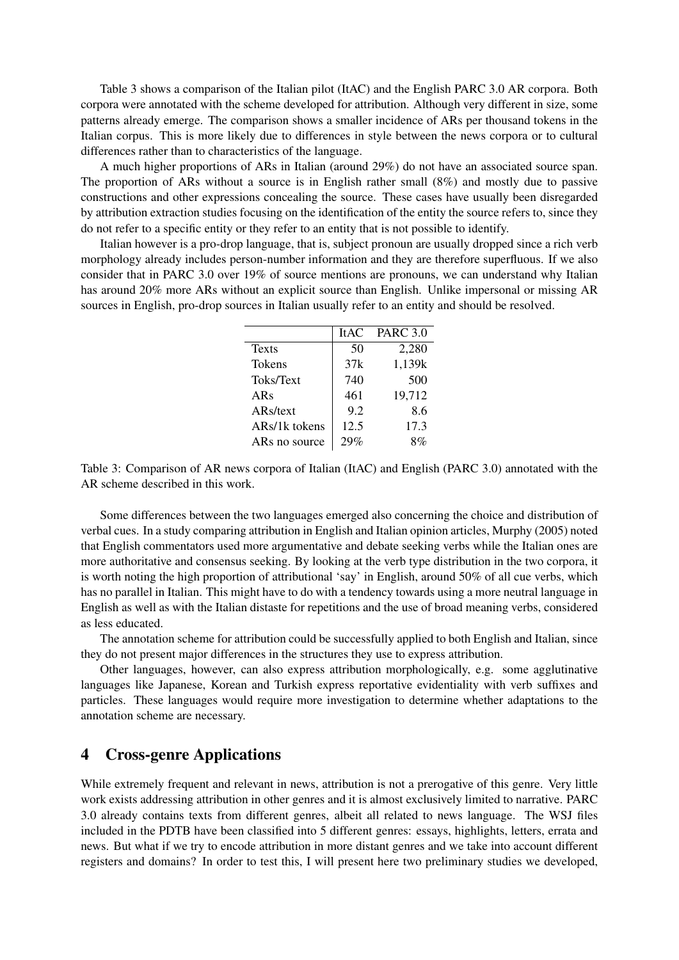Table 3 shows a comparison of the Italian pilot (ItAC) and the English PARC 3.0 AR corpora. Both corpora were annotated with the scheme developed for attribution. Although very different in size, some patterns already emerge. The comparison shows a smaller incidence of ARs per thousand tokens in the Italian corpus. This is more likely due to differences in style between the news corpora or to cultural differences rather than to characteristics of the language.

A much higher proportions of ARs in Italian (around 29%) do not have an associated source span. The proportion of ARs without a source is in English rather small (8%) and mostly due to passive constructions and other expressions concealing the source. These cases have usually been disregarded by attribution extraction studies focusing on the identification of the entity the source refers to, since they do not refer to a specific entity or they refer to an entity that is not possible to identify.

Italian however is a pro-drop language, that is, subject pronoun are usually dropped since a rich verb morphology already includes person-number information and they are therefore superfluous. If we also consider that in PARC 3.0 over 19% of source mentions are pronouns, we can understand why Italian has around 20% more ARs without an explicit source than English. Unlike impersonal or missing AR sources in English, pro-drop sources in Italian usually refer to an entity and should be resolved.

|               | <b>ItAC</b> | <b>PARC</b> 3.0 |
|---------------|-------------|-----------------|
| <b>Texts</b>  | 50          | 2,280           |
| <b>Tokens</b> | 37k         | 1,139k          |
| Toks/Text     | 740         | 500             |
| ARs           | 461         | 19,712          |
| ARs/text      | 9.2         | 8.6             |
| ARs/1k tokens | 12.5        | 17.3            |
| ARs no source | 29%         | 8%              |

Table 3: Comparison of AR news corpora of Italian (ItAC) and English (PARC 3.0) annotated with the AR scheme described in this work.

Some differences between the two languages emerged also concerning the choice and distribution of verbal cues. In a study comparing attribution in English and Italian opinion articles, Murphy (2005) noted that English commentators used more argumentative and debate seeking verbs while the Italian ones are more authoritative and consensus seeking. By looking at the verb type distribution in the two corpora, it is worth noting the high proportion of attributional 'say' in English, around 50% of all cue verbs, which has no parallel in Italian. This might have to do with a tendency towards using a more neutral language in English as well as with the Italian distaste for repetitions and the use of broad meaning verbs, considered as less educated.

The annotation scheme for attribution could be successfully applied to both English and Italian, since they do not present major differences in the structures they use to express attribution.

Other languages, however, can also express attribution morphologically, e.g. some agglutinative languages like Japanese, Korean and Turkish express reportative evidentiality with verb suffixes and particles. These languages would require more investigation to determine whether adaptations to the annotation scheme are necessary.

### 4 Cross-genre Applications

While extremely frequent and relevant in news, attribution is not a prerogative of this genre. Very little work exists addressing attribution in other genres and it is almost exclusively limited to narrative. PARC 3.0 already contains texts from different genres, albeit all related to news language. The WSJ files included in the PDTB have been classified into 5 different genres: essays, highlights, letters, errata and news. But what if we try to encode attribution in more distant genres and we take into account different registers and domains? In order to test this, I will present here two preliminary studies we developed,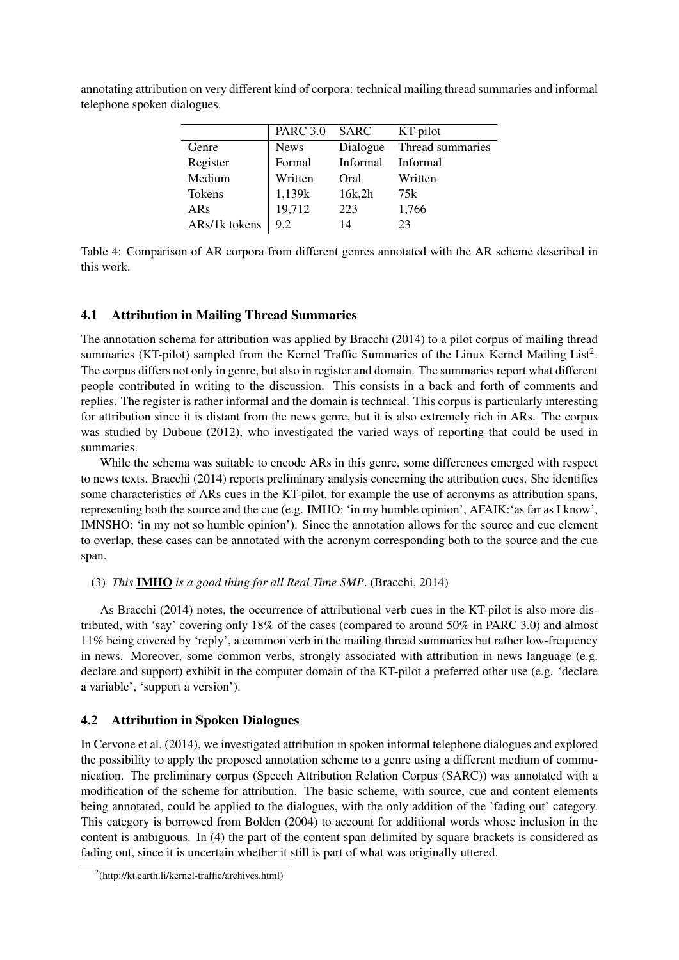|               | <b>PARC 3.0</b> | SARC     | KT-pilot         |
|---------------|-----------------|----------|------------------|
| Genre         | <b>News</b>     | Dialogue | Thread summaries |
| Register      | Formal          | Informal | Informal         |
| Medium        | Written         | Oral     | Written          |
| Tokens        | 1,139k          | 16k,2h   | 75k              |
| ARs           | 19,712          | 223      | 1,766            |
| ARs/1k tokens | 9.2             | 14       | 23               |
|               |                 |          |                  |

annotating attribution on very different kind of corpora: technical mailing thread summaries and informal telephone spoken dialogues.

Table 4: Comparison of AR corpora from different genres annotated with the AR scheme described in this work.

### 4.1 Attribution in Mailing Thread Summaries

The annotation schema for attribution was applied by Bracchi (2014) to a pilot corpus of mailing thread summaries (KT-pilot) sampled from the Kernel Traffic Summaries of the Linux Kernel Mailing List<sup>2</sup>. The corpus differs not only in genre, but also in register and domain. The summaries report what different people contributed in writing to the discussion. This consists in a back and forth of comments and replies. The register is rather informal and the domain is technical. This corpus is particularly interesting for attribution since it is distant from the news genre, but it is also extremely rich in ARs. The corpus was studied by Duboue (2012), who investigated the varied ways of reporting that could be used in summaries.

While the schema was suitable to encode ARs in this genre, some differences emerged with respect to news texts. Bracchi (2014) reports preliminary analysis concerning the attribution cues. She identifies some characteristics of ARs cues in the KT-pilot, for example the use of acronyms as attribution spans, representing both the source and the cue (e.g. IMHO: 'in my humble opinion', AFAIK:'as far as I know', IMNSHO: 'in my not so humble opinion'). Since the annotation allows for the source and cue element to overlap, these cases can be annotated with the acronym corresponding both to the source and the cue span.

#### (3) *This* IMHO *is a good thing for all Real Time SMP*. (Bracchi, 2014)

As Bracchi (2014) notes, the occurrence of attributional verb cues in the KT-pilot is also more distributed, with 'say' covering only 18% of the cases (compared to around 50% in PARC 3.0) and almost 11% being covered by 'reply', a common verb in the mailing thread summaries but rather low-frequency in news. Moreover, some common verbs, strongly associated with attribution in news language (e.g. declare and support) exhibit in the computer domain of the KT-pilot a preferred other use (e.g. 'declare a variable', 'support a version').

### 4.2 Attribution in Spoken Dialogues

In Cervone et al. (2014), we investigated attribution in spoken informal telephone dialogues and explored the possibility to apply the proposed annotation scheme to a genre using a different medium of communication. The preliminary corpus (Speech Attribution Relation Corpus (SARC)) was annotated with a modification of the scheme for attribution. The basic scheme, with source, cue and content elements being annotated, could be applied to the dialogues, with the only addition of the 'fading out' category. This category is borrowed from Bolden (2004) to account for additional words whose inclusion in the content is ambiguous. In (4) the part of the content span delimited by square brackets is considered as fading out, since it is uncertain whether it still is part of what was originally uttered.

<sup>&</sup>lt;sup>2</sup>(http://kt.earth.li/kernel-traffic/archives.html)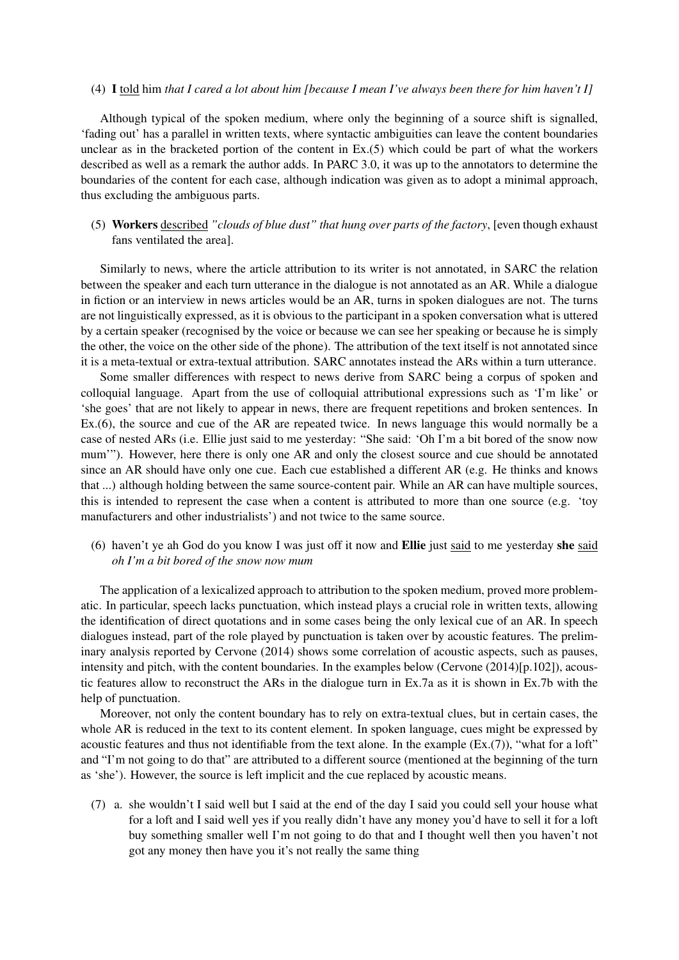#### (4) I told him *that I cared a lot about him [because I mean I've always been there for him haven't I]*

Although typical of the spoken medium, where only the beginning of a source shift is signalled, 'fading out' has a parallel in written texts, where syntactic ambiguities can leave the content boundaries unclear as in the bracketed portion of the content in Ex.(5) which could be part of what the workers described as well as a remark the author adds. In PARC 3.0, it was up to the annotators to determine the boundaries of the content for each case, although indication was given as to adopt a minimal approach, thus excluding the ambiguous parts.

(5) Workers described *"clouds of blue dust" that hung over parts of the factory*, [even though exhaust fans ventilated the area].

Similarly to news, where the article attribution to its writer is not annotated, in SARC the relation between the speaker and each turn utterance in the dialogue is not annotated as an AR. While a dialogue in fiction or an interview in news articles would be an AR, turns in spoken dialogues are not. The turns are not linguistically expressed, as it is obvious to the participant in a spoken conversation what is uttered by a certain speaker (recognised by the voice or because we can see her speaking or because he is simply the other, the voice on the other side of the phone). The attribution of the text itself is not annotated since it is a meta-textual or extra-textual attribution. SARC annotates instead the ARs within a turn utterance.

Some smaller differences with respect to news derive from SARC being a corpus of spoken and colloquial language. Apart from the use of colloquial attributional expressions such as 'I'm like' or 'she goes' that are not likely to appear in news, there are frequent repetitions and broken sentences. In Ex.(6), the source and cue of the AR are repeated twice. In news language this would normally be a case of nested ARs (i.e. Ellie just said to me yesterday: "She said: 'Oh I'm a bit bored of the snow now mum'"). However, here there is only one AR and only the closest source and cue should be annotated since an AR should have only one cue. Each cue established a different AR (e.g. He thinks and knows that ...) although holding between the same source-content pair. While an AR can have multiple sources, this is intended to represent the case when a content is attributed to more than one source (e.g. 'toy manufacturers and other industrialists') and not twice to the same source.

(6) haven't ye ah God do you know I was just off it now and Ellie just said to me yesterday she said *oh I'm a bit bored of the snow now mum*

The application of a lexicalized approach to attribution to the spoken medium, proved more problematic. In particular, speech lacks punctuation, which instead plays a crucial role in written texts, allowing the identification of direct quotations and in some cases being the only lexical cue of an AR. In speech dialogues instead, part of the role played by punctuation is taken over by acoustic features. The preliminary analysis reported by Cervone (2014) shows some correlation of acoustic aspects, such as pauses, intensity and pitch, with the content boundaries. In the examples below (Cervone (2014)[p.102]), acoustic features allow to reconstruct the ARs in the dialogue turn in Ex.7a as it is shown in Ex.7b with the help of punctuation.

Moreover, not only the content boundary has to rely on extra-textual clues, but in certain cases, the whole AR is reduced in the text to its content element. In spoken language, cues might be expressed by acoustic features and thus not identifiable from the text alone. In the example  $(Ex.(7))$ , "what for a loft" and "I'm not going to do that" are attributed to a different source (mentioned at the beginning of the turn as 'she'). However, the source is left implicit and the cue replaced by acoustic means.

(7) a. she wouldn't I said well but I said at the end of the day I said you could sell your house what for a loft and I said well yes if you really didn't have any money you'd have to sell it for a loft buy something smaller well I'm not going to do that and I thought well then you haven't not got any money then have you it's not really the same thing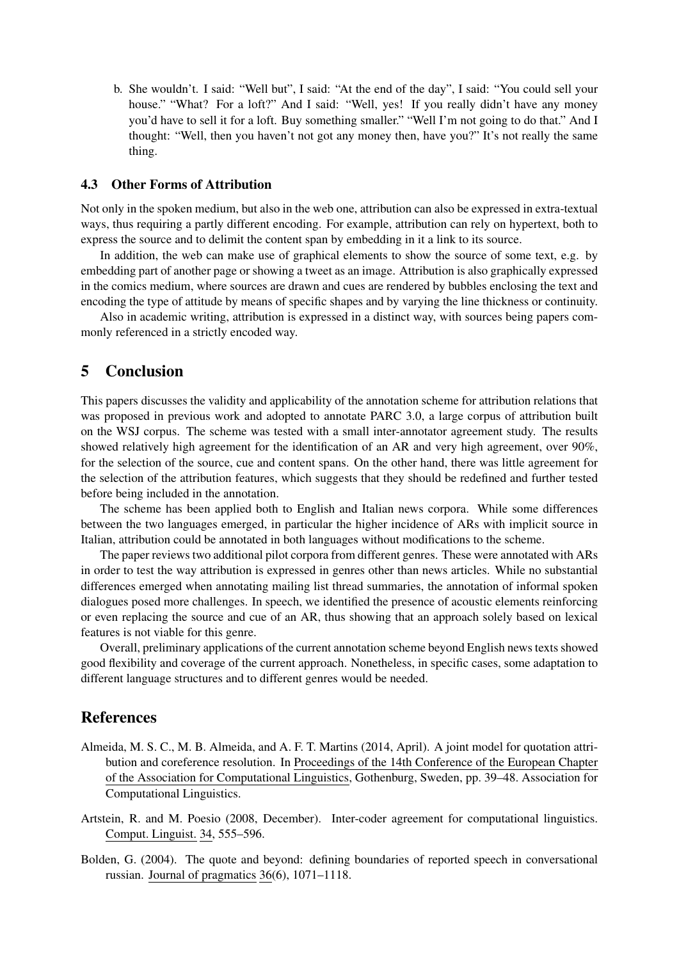b. She wouldn't. I said: "Well but", I said: "At the end of the day", I said: "You could sell your house." "What? For a loft?" And I said: "Well, yes! If you really didn't have any money you'd have to sell it for a loft. Buy something smaller." "Well I'm not going to do that." And I thought: "Well, then you haven't not got any money then, have you?" It's not really the same thing.

#### 4.3 Other Forms of Attribution

Not only in the spoken medium, but also in the web one, attribution can also be expressed in extra-textual ways, thus requiring a partly different encoding. For example, attribution can rely on hypertext, both to express the source and to delimit the content span by embedding in it a link to its source.

In addition, the web can make use of graphical elements to show the source of some text, e.g. by embedding part of another page or showing a tweet as an image. Attribution is also graphically expressed in the comics medium, where sources are drawn and cues are rendered by bubbles enclosing the text and encoding the type of attitude by means of specific shapes and by varying the line thickness or continuity.

Also in academic writing, attribution is expressed in a distinct way, with sources being papers commonly referenced in a strictly encoded way.

### 5 Conclusion

This papers discusses the validity and applicability of the annotation scheme for attribution relations that was proposed in previous work and adopted to annotate PARC 3.0, a large corpus of attribution built on the WSJ corpus. The scheme was tested with a small inter-annotator agreement study. The results showed relatively high agreement for the identification of an AR and very high agreement, over 90%, for the selection of the source, cue and content spans. On the other hand, there was little agreement for the selection of the attribution features, which suggests that they should be redefined and further tested before being included in the annotation.

The scheme has been applied both to English and Italian news corpora. While some differences between the two languages emerged, in particular the higher incidence of ARs with implicit source in Italian, attribution could be annotated in both languages without modifications to the scheme.

The paper reviews two additional pilot corpora from different genres. These were annotated with ARs in order to test the way attribution is expressed in genres other than news articles. While no substantial differences emerged when annotating mailing list thread summaries, the annotation of informal spoken dialogues posed more challenges. In speech, we identified the presence of acoustic elements reinforcing or even replacing the source and cue of an AR, thus showing that an approach solely based on lexical features is not viable for this genre.

Overall, preliminary applications of the current annotation scheme beyond English news texts showed good flexibility and coverage of the current approach. Nonetheless, in specific cases, some adaptation to different language structures and to different genres would be needed.

## References

- Almeida, M. S. C., M. B. Almeida, and A. F. T. Martins (2014, April). A joint model for quotation attribution and coreference resolution. In Proceedings of the 14th Conference of the European Chapter of the Association for Computational Linguistics, Gothenburg, Sweden, pp. 39–48. Association for Computational Linguistics.
- Artstein, R. and M. Poesio (2008, December). Inter-coder agreement for computational linguistics. Comput. Linguist. 34, 555–596.
- Bolden, G. (2004). The quote and beyond: defining boundaries of reported speech in conversational russian. Journal of pragmatics 36(6), 1071–1118.